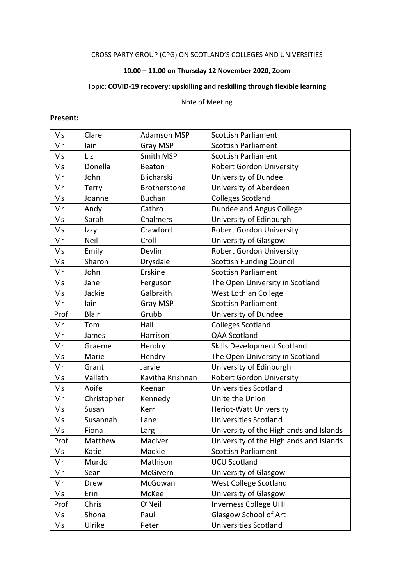# CROSS PARTY GROUP (CPG) ON SCOTLAND'S COLLEGES AND UNIVERSITIES

# **10.00 – 11.00 on Thursday 12 November 2020, Zoom**

# Topic: **COVID-19 recovery: upskilling and reskilling through flexible learning**

#### Note of Meeting

#### **Present:**

| Ms   | Clare        | <b>Adamson MSP</b> | <b>Scottish Parliament</b>              |
|------|--------------|--------------------|-----------------------------------------|
| Mr   | lain         | Gray MSP           | <b>Scottish Parliament</b>              |
| Ms   | Liz          | Smith MSP          | <b>Scottish Parliament</b>              |
| Ms   | Donella      | Beaton             | <b>Robert Gordon University</b>         |
| Mr   | John         | Blicharski         | University of Dundee                    |
| Mr   | <b>Terry</b> | Brotherstone       | University of Aberdeen                  |
| Ms   | Joanne       | <b>Buchan</b>      | <b>Colleges Scotland</b>                |
| Mr   | Andy         | Cathro             | Dundee and Angus College                |
| Ms   | Sarah        | Chalmers           | University of Edinburgh                 |
| Ms   | Izzy         | Crawford           | <b>Robert Gordon University</b>         |
| Mr   | Neil         | Croll              | University of Glasgow                   |
| Ms   | Emily        | Devlin             | <b>Robert Gordon University</b>         |
| Ms   | Sharon       | Drysdale           | <b>Scottish Funding Council</b>         |
| Mr   | John         | Erskine            | <b>Scottish Parliament</b>              |
| Ms   | Jane         | Ferguson           | The Open University in Scotland         |
| Ms   | Jackie       | Galbraith          | West Lothian College                    |
| Mr   | lain         | <b>Gray MSP</b>    | <b>Scottish Parliament</b>              |
| Prof | <b>Blair</b> | Grubb              | University of Dundee                    |
| Mr   | Tom          | Hall               | <b>Colleges Scotland</b>                |
| Mr   | James        | Harrison           | QAA Scotland                            |
| Mr   | Graeme       | Hendry             | <b>Skills Development Scotland</b>      |
| Ms   | Marie        | Hendry             | The Open University in Scotland         |
| Mr   | Grant        | Jarvie             | University of Edinburgh                 |
| Ms   | Vallath      | Kavitha Krishnan   | <b>Robert Gordon University</b>         |
| Ms   | Aoife        | Keenan             | <b>Universities Scotland</b>            |
| Mr   | Christopher  | Kennedy            | Unite the Union                         |
| Ms   | Susan        | Kerr               | Heriot-Watt University                  |
| Ms   | Susannah     | Lane               | <b>Universities Scotland</b>            |
| Ms   | Fiona        | Larg               | University of the Highlands and Islands |
| Prof | Matthew      | MacIver            | University of the Highlands and Islands |
| Ms   | Katie        | Mackie             | Scottish Parliament                     |
| Mr   | Murdo        | Mathison           | <b>UCU Scotland</b>                     |
| Mr   | Sean         | McGivern           | University of Glasgow                   |
| Mr   | Drew         | McGowan            | <b>West College Scotland</b>            |
| Ms   | Erin         | McKee              | University of Glasgow                   |
| Prof | Chris        | O'Neil             | <b>Inverness College UHI</b>            |
| Ms   | Shona        | Paul               | Glasgow School of Art                   |
| Ms   | Ulrike       | Peter              | <b>Universities Scotland</b>            |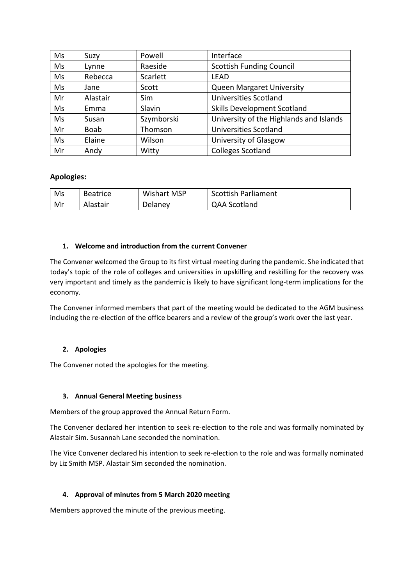| Ms | Suzy        | Powell     | Interface                               |
|----|-------------|------------|-----------------------------------------|
| Ms | Lynne       | Raeside    | <b>Scottish Funding Council</b>         |
| Ms | Rebecca     | Scarlett   | <b>LEAD</b>                             |
| Ms | Jane        | Scott      | <b>Queen Margaret University</b>        |
| Mr | Alastair    | Sim        | <b>Universities Scotland</b>            |
| Ms | Emma        | Slavin     | Skills Development Scotland             |
| Ms | Susan       | Szymborski | University of the Highlands and Islands |
| Mr | <b>Boab</b> | Thomson    | <b>Universities Scotland</b>            |
| Ms | Elaine      | Wilson     | University of Glasgow                   |
| Mr | Andy        | Witty      | <b>Colleges Scotland</b>                |

## **Apologies:**

| Ms | <b>Beatrice</b> | Wishart MSP | <b>Scottish Parliament</b> |
|----|-----------------|-------------|----------------------------|
| Mr | Alastair        | Delaney     | <b>QAA Scotland</b>        |

## **1. Welcome and introduction from the current Convener**

The Convener welcomed the Group to its first virtual meeting during the pandemic. She indicated that today's topic of the role of colleges and universities in upskilling and reskilling for the recovery was very important and timely as the pandemic is likely to have significant long-term implications for the economy.

The Convener informed members that part of the meeting would be dedicated to the AGM business including the re-election of the office bearers and a review of the group's work over the last year.

## **2. Apologies**

The Convener noted the apologies for the meeting.

## **3. Annual General Meeting business**

Members of the group approved the Annual Return Form.

The Convener declared her intention to seek re-election to the role and was formally nominated by Alastair Sim. Susannah Lane seconded the nomination.

The Vice Convener declared his intention to seek re-election to the role and was formally nominated by Liz Smith MSP. Alastair Sim seconded the nomination.

## **4. Approval of minutes from 5 March 2020 meeting**

Members approved the minute of the previous meeting.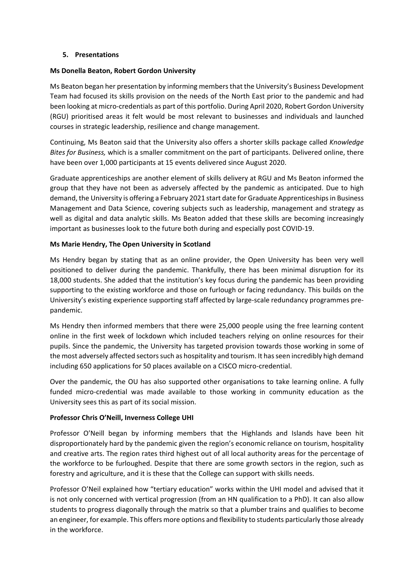#### **5. Presentations**

#### **Ms Donella Beaton, Robert Gordon University**

Ms Beaton began her presentation by informing members that the University's Business Development Team had focused its skills provision on the needs of the North East prior to the pandemic and had been looking at micro-credentials as part of this portfolio. During April 2020, Robert Gordon University (RGU) prioritised areas it felt would be most relevant to businesses and individuals and launched courses in strategic leadership, resilience and change management.

Continuing, Ms Beaton said that the University also offers a shorter skills package called *Knowledge Bites for Business,* which is a smaller commitment on the part of participants. Delivered online, there have been over 1,000 participants at 15 events delivered since August 2020.

Graduate apprenticeships are another element of skills delivery at RGU and Ms Beaton informed the group that they have not been as adversely affected by the pandemic as anticipated. Due to high demand, the University is offering a February 2021 start date for Graduate Apprenticeships in Business Management and Data Science, covering subjects such as leadership, management and strategy as well as digital and data analytic skills. Ms Beaton added that these skills are becoming increasingly important as businesses look to the future both during and especially post COVID-19.

#### **Ms Marie Hendry, The Open University in Scotland**

Ms Hendry began by stating that as an online provider, the Open University has been very well positioned to deliver during the pandemic. Thankfully, there has been minimal disruption for its 18,000 students. She added that the institution's key focus during the pandemic has been providing supporting to the existing workforce and those on furlough or facing redundancy. This builds on the University's existing experience supporting staff affected by large-scale redundancy programmes prepandemic.

Ms Hendry then informed members that there were 25,000 people using the free learning content online in the first week of lockdown which included teachers relying on online resources for their pupils. Since the pandemic, the University has targeted provision towards those working in some of the most adversely affected sectors such as hospitality and tourism. It has seen incredibly high demand including 650 applications for 50 places available on a CISCO micro-credential.

Over the pandemic, the OU has also supported other organisations to take learning online. A fully funded micro-credential was made available to those working in community education as the University sees this as part of its social mission.

## **Professor Chris O'Neill, Inverness College UHI**

Professor O'Neill began by informing members that the Highlands and Islands have been hit disproportionately hard by the pandemic given the region's economic reliance on tourism, hospitality and creative arts. The region rates third highest out of all local authority areas for the percentage of the workforce to be furloughed. Despite that there are some growth sectors in the region, such as forestry and agriculture, and it is these that the College can support with skills needs.

Professor O'Neil explained how "tertiary education" works within the UHI model and advised that it is not only concerned with vertical progression (from an HN qualification to a PhD). It can also allow students to progress diagonally through the matrix so that a plumber trains and qualifies to become an engineer, for example. This offers more options and flexibility to students particularly those already in the workforce.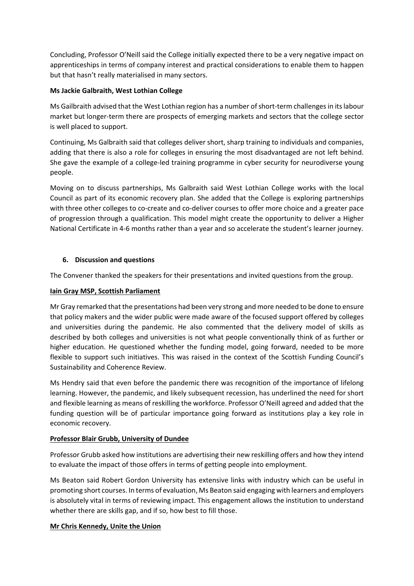Concluding, Professor O'Neill said the College initially expected there to be a very negative impact on apprenticeships in terms of company interest and practical considerations to enable them to happen but that hasn't really materialised in many sectors.

## **Ms Jackie Galbraith, West Lothian College**

Ms Gailbraith advised that the West Lothian region has a number of short-term challenges in its labour market but longer-term there are prospects of emerging markets and sectors that the college sector is well placed to support.

Continuing, Ms Galbraith said that colleges deliver short, sharp training to individuals and companies, adding that there is also a role for colleges in ensuring the most disadvantaged are not left behind. She gave the example of a college-led training programme in cyber security for neurodiverse young people.

Moving on to discuss partnerships, Ms Galbraith said West Lothian College works with the local Council as part of its economic recovery plan. She added that the College is exploring partnerships with three other colleges to co-create and co-deliver courses to offer more choice and a greater pace of progression through a qualification. This model might create the opportunity to deliver a Higher National Certificate in 4-6 months rather than a year and so accelerate the student's learner journey.

## **6. Discussion and questions**

The Convener thanked the speakers for their presentations and invited questions from the group.

## **Iain Gray MSP, Scottish Parliament**

Mr Gray remarked that the presentations had been very strong and more needed to be done to ensure that policy makers and the wider public were made aware of the focused support offered by colleges and universities during the pandemic. He also commented that the delivery model of skills as described by both colleges and universities is not what people conventionally think of as further or higher education. He questioned whether the funding model, going forward, needed to be more flexible to support such initiatives. This was raised in the context of the Scottish Funding Council's Sustainability and Coherence Review.

Ms Hendry said that even before the pandemic there was recognition of the importance of lifelong learning. However, the pandemic, and likely subsequent recession, has underlined the need for short and flexible learning as means of reskilling the workforce. Professor O'Neill agreed and added that the funding question will be of particular importance going forward as institutions play a key role in economic recovery.

## **Professor Blair Grubb, University of Dundee**

Professor Grubb asked how institutions are advertising their new reskilling offers and how they intend to evaluate the impact of those offers in terms of getting people into employment.

Ms Beaton said Robert Gordon University has extensive links with industry which can be useful in promoting short courses. In terms of evaluation, Ms Beaton said engaging with learners and employers is absolutely vital in terms of reviewing impact. This engagement allows the institution to understand whether there are skills gap, and if so, how best to fill those.

## **Mr Chris Kennedy, Unite the Union**